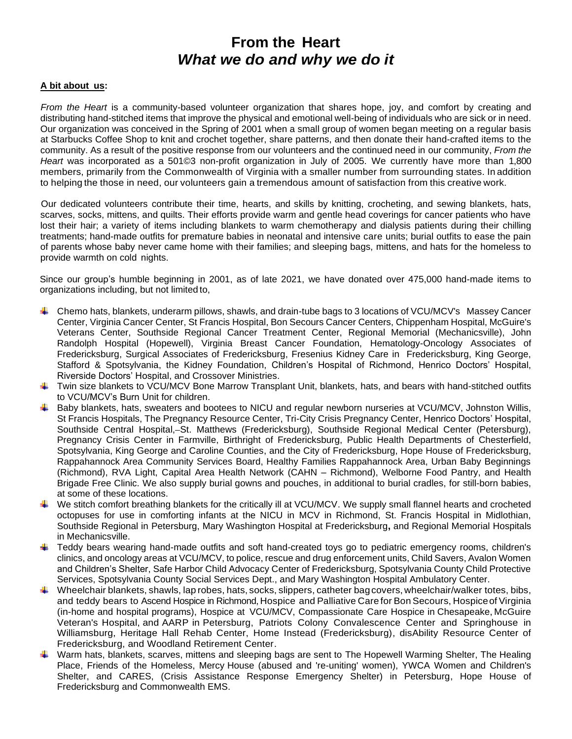## **From the Heart** *What we do and why we do it*

## **A bit about us:**

*From the Heart* is a community-based volunteer organization that shares hope, joy, and comfort by creating and distributing hand-stitched items that improve the physical and emotional well-being of individuals who are sick or in need. Our organization was conceived in the Spring of 2001 when a small group of women began meeting on a regular basis at Starbucks Coffee Shop to knit and crochet together, share patterns, and then donate their hand-crafted items to the community. As a result of the positive response from our volunteers and the continued need in our community, *From the Heart* was incorporated as a 501©3 non-profit organization in July of 2005. We currently have more than 1,800 members, primarily from the Commonwealth of Virginia with a smaller number from surrounding states. In addition to helping the those in need, our volunteers gain a tremendous amount of satisfaction from this creative work.

Our dedicated volunteers contribute their time, hearts, and skills by knitting, crocheting, and sewing blankets, hats, scarves, socks, mittens, and quilts. Their efforts provide warm and gentle head coverings for cancer patients who have lost their hair; a variety of items including blankets to warm chemotherapy and dialysis patients during their chilling treatments; hand-made outfits for premature babies in neonatal and intensive care units; burial outfits to ease the pain of parents whose baby never came home with their families; and sleeping bags, mittens, and hats for the homeless to provide warmth on cold nights.

Since our group's humble beginning in 2001, as of late 2021, we have donated over 475,000 hand-made items to organizations including, but not limited to,

- Chemo hats, blankets, underarm pillows, shawls, and drain-tube bags to 3 locations of VCU/MCV's Massey Cancer Center, Virginia Cancer Center, St Francis Hospital, Bon Secours Cancer Centers, Chippenham Hospital, McGuire's Veterans Center, Southside Regional Cancer Treatment Center, Regional Memorial (Mechanicsville), John Randolph Hospital (Hopewell), Virginia Breast Cancer Foundation, Hematology-Oncology Associates of Fredericksburg, Surgical Associates of Fredericksburg, Fresenius Kidney Care in Fredericksburg, King George, Stafford & Spotsylvania, the Kidney Foundation, Children's Hospital of Richmond, Henrico Doctors' Hospital, Riverside Doctors' Hospital, and Crossover Ministries.
- Twin size blankets to VCU/MCV Bone Marrow Transplant Unit, blankets, hats, and bears with hand-stitched outfits to VCU/MCV's Burn Unit for children.
- Baby blankets, hats, sweaters and bootees to NICU and regular newborn nurseries at VCU/MCV, Johnston Willis, St Francis Hospitals, The Pregnancy Resource Center, Tri-City Crisis Pregnancy Center, Henrico Doctors' Hospital, Southside Central Hospital,-St. Matthews (Fredericksburg), Southside Regional Medical Center (Petersburg), Pregnancy Crisis Center in Farmville, Birthright of Fredericksburg, Public Health Departments of Chesterfield, Spotsylvania, King George and Caroline Counties, and the City of Fredericksburg, Hope House of Fredericksburg, Rappahannock Area Community Services Board, Healthy Families Rappahannock Area, Urban Baby Beginnings (Richmond), RVA Light, Capital Area Health Network (CAHN – Richmond), Welborne Food Pantry, and Health Brigade Free Clinic. We also supply burial gowns and pouches, in additional to burial cradles, for still-born babies, at some of these locations.
- $\ddotplus$  We stitch comfort breathing blankets for the critically ill at VCU/MCV. We supply small flannel hearts and crocheted octopuses for use in comforting infants at the NICU in MCV in Richmond, St. Francis Hospital in Midlothian, Southside Regional in Petersburg, Mary Washington Hospital at Fredericksburg**,** and Regional Memorial Hospitals in Mechanicsville.
- Teddy bears wearing hand-made outfits and soft hand-created toys go to pediatric emergency rooms, children's clinics, and oncology areas at VCU/MCV, to police, rescue and drug enforcement units, Child Savers, Avalon Women and Children's Shelter, Safe Harbor Child Advocacy Center of Fredericksburg, Spotsylvania County Child Protective Services, Spotsylvania County Social Services Dept., and Mary Washington Hospital Ambulatory Center.
- $\blacksquare$ Wheelchair blankets, shawls, lap robes, hats, socks, slippers, catheter bagcovers, wheelchair/walker totes, bibs, and teddy bears to Ascend Hospice in Richmond, Hospice and Palliative Care for Bon Secours, Hospiceof Virginia (in-home and hospital programs), Hospice at VCU/MCV, Compassionate Care Hospice in Chesapeake, McGuire Veteran's Hospital, and AARP in Petersburg, Patriots Colony Convalescence Center and Springhouse in Williamsburg, Heritage Hall Rehab Center, Home Instead (Fredericksburg), disAbility Resource Center of Fredericksburg, and Woodland Retirement Center.
- Warm hats, blankets, scarves, mittens and sleeping bags are sent to The Hopewell Warming Shelter, The Healing Place, Friends of the Homeless, Mercy House (abused and 're-uniting' women), YWCA Women and Children's Shelter, and CARES, (Crisis Assistance Response Emergency Shelter) in Petersburg, Hope House of Fredericksburg and Commonwealth EMS.